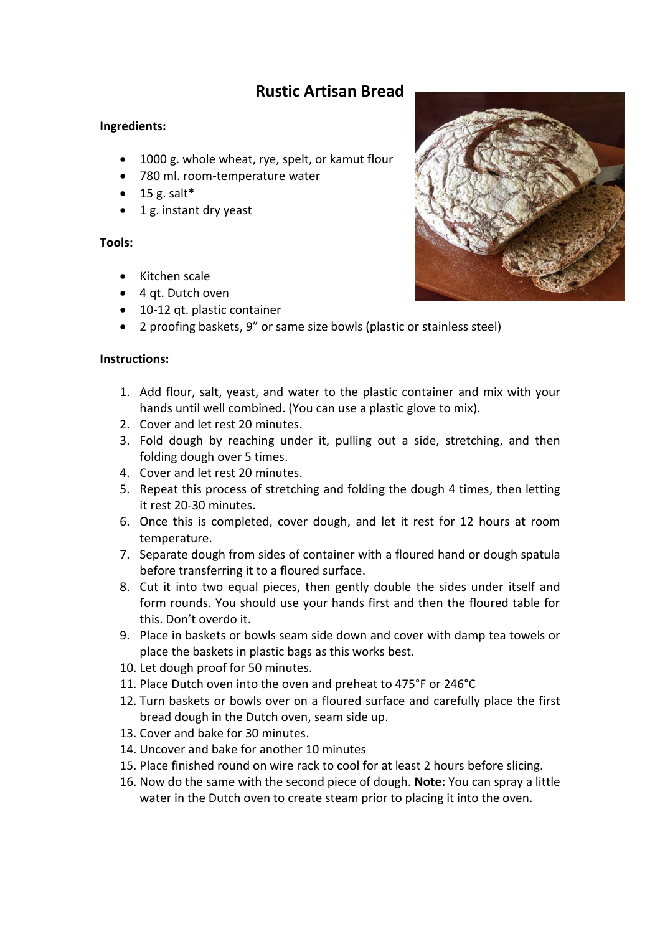## **Rustic Artisan Bread**

## **Ingredients:**

- 1000 g. whole wheat, rye, spelt, or kamut flour
- 780 ml. room-temperature water
- $\bullet$  15 g. salt\*
- 1 g. instant dry yeast

## **Tools:**

- Kitchen scale
- 4 qt. Dutch oven
- 10-12 qt. plastic container
- 2 proofing baskets, 9" or same size bowls (plastic or stainless steel)

## **Instructions:**

- 1. Add flour, salt, yeast, and water to the plastic container and mix with your hands until well combined. (You can use a plastic glove to mix).
- 2. Cover and let rest 20 minutes.
- 3. Fold dough by reaching under it, pulling out a side, stretching, and then folding dough over 5 times.
- 4. Cover and let rest 20 minutes.
- 5. Repeat this process of stretching and folding the dough 4 times, then letting it rest 20-30 minutes.
- 6. Once this is completed, cover dough, and let it rest for 12 hours at room temperature.
- 7. Separate dough from sides of container with a floured hand or dough spatula before transferring it to a floured surface.
- 8. Cut it into two equal pieces, then gently double the sides under itself and form rounds. You should use your hands first and then the floured table for this. Don't overdo it.
- 9. Place in baskets or bowls seam side down and cover with damp tea towels or place the baskets in plastic bags as this works best.
- 10. Let dough proof for 50 minutes.
- 11. Place Dutch oven into the oven and preheat to 475°F or 246°C
- 12. Turn baskets or bowls over on a floured surface and carefully place the first bread dough in the Dutch oven, seam side up.
- 13. Cover and bake for 30 minutes.
- 14. Uncover and bake for another 10 minutes
- 15. Place finished round on wire rack to cool for at least 2 hours before slicing.
- 16. Now do the same with the second piece of dough. **Note:** You can spray a little water in the Dutch oven to create steam prior to placing it into the oven.